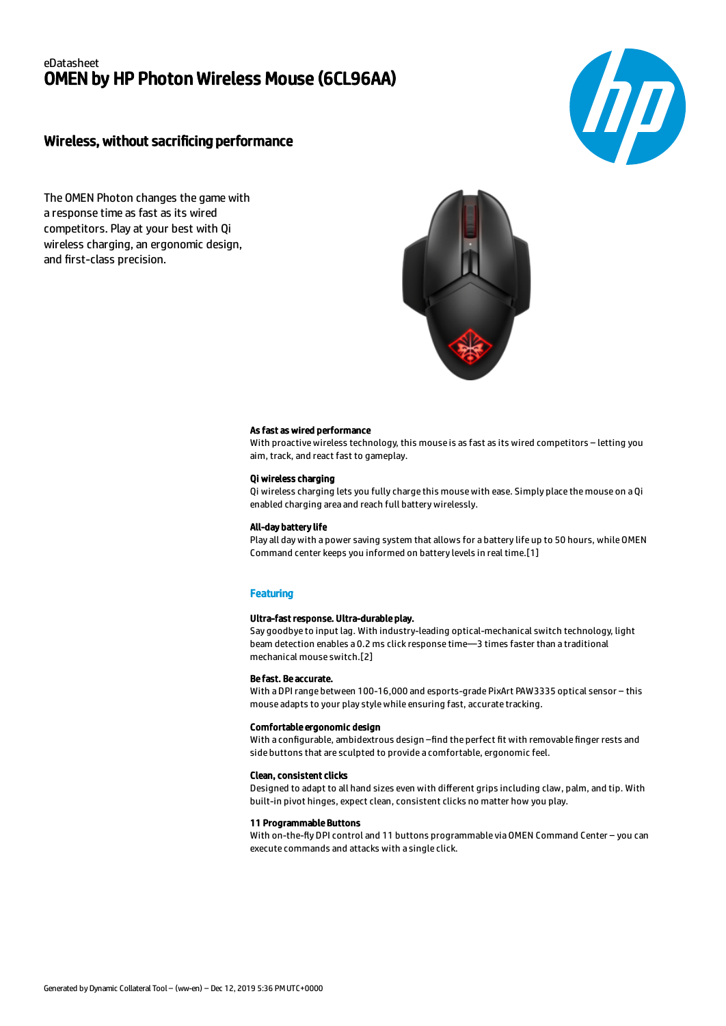# eDatasheet OMEN by HP Photon Wireless Mouse (6CL96AA)

# Wireless, without sacrificing performance

**hp** 

The OMEN Photon changes the game with a response time as fast as its wired competitors. Play at your best with Qi wireless charging, an ergonomic design, and first-class precision.



#### As fast as wired performance

With proactive wireless technology, this mouse is as fast as its wired competitors – letting you aim, track, and react fast to gameplay.

## Qi wireless charging

Qi wireless charging lets you fully charge this mouse with ease. Simply place the mouse on a Qi enabled charging area and reach full battery wirelessly.

#### All-day battery life

Play all day with a power saving system that allows for a battery life up to 50 hours, while OMEN Command center keeps you informed on battery levels in real time.[1]

## **Featuring**

#### Ultra-fast response. Ultra-durable play.

Say goodbye to input lag. With industry-leading optical-mechanical switch technology, light beam detection enables a 0.2 ms click response time—3 times faster than a traditional mechanical mouse switch.[2]

#### Be fast. Be accurate.

With a DPI range between 100-16,000 and esports-grade PixArt PAW3335 optical sensor – this mouse adapts to your play style while ensuring fast, accurate tracking.

#### Comfortable ergonomic design

With a configurable, ambidextrous design –find the perfect fit with removable finger rests and side buttons that are sculpted to provide a comfortable, ergonomic feel.

#### Clean, consistent clicks

Designed to adapt to all hand sizes even with different grips including claw, palm, and tip. With built-in pivot hinges, expect clean, consistent clicks no matter how you play.

#### 11 Programmable Buttons

With on-the-fly DPI control and 11 buttons programmable via OMEN Command Center - you can execute commands and attacks with a single click.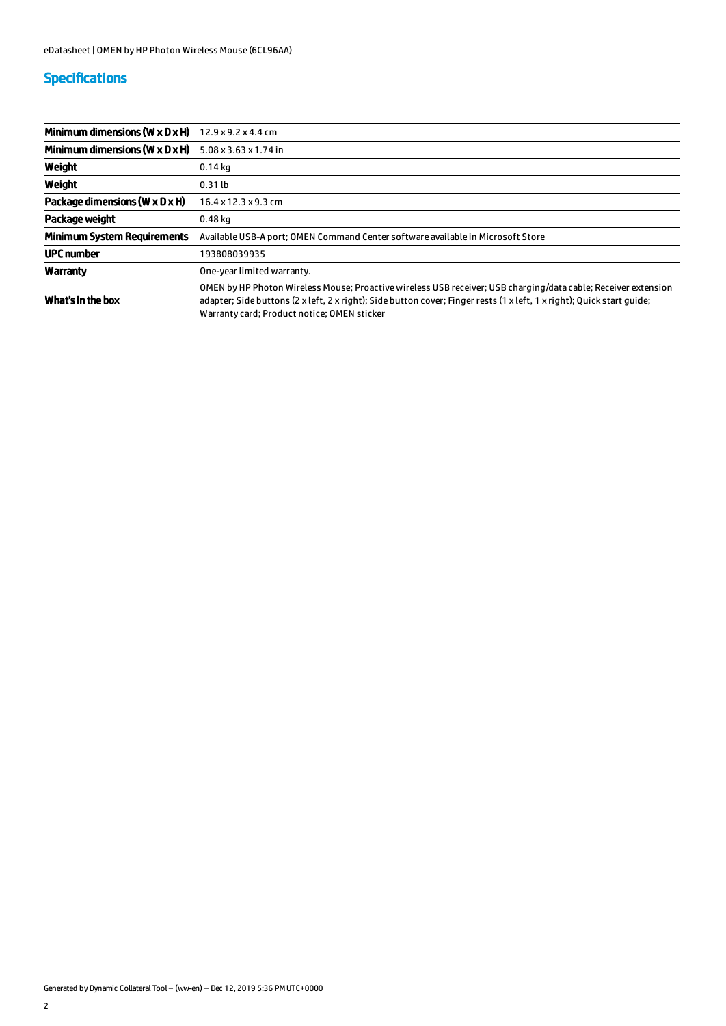# Specifications

| Minimum dimensions (W $\times$ D $\times$ H) | $12.9 \times 9.2 \times 4.4$ cm                                                                                                                                                                                                                                                         |
|----------------------------------------------|-----------------------------------------------------------------------------------------------------------------------------------------------------------------------------------------------------------------------------------------------------------------------------------------|
| Minimum dimensions ( $W \times D \times H$ ) | 5.08 x 3.63 x 1.74 in                                                                                                                                                                                                                                                                   |
| Weight                                       | $0.14$ kg                                                                                                                                                                                                                                                                               |
| Weight                                       | $0.31$ lb                                                                                                                                                                                                                                                                               |
| Package dimensions (W $\times$ D $\times$ H) | $16.4 \times 12.3 \times 9.3$ cm                                                                                                                                                                                                                                                        |
| Package weight                               | $0.48$ kg                                                                                                                                                                                                                                                                               |
| <b>Minimum System Requirements</b>           | Available USB-A port; OMEN Command Center software available in Microsoft Store                                                                                                                                                                                                         |
| <b>UPC</b> number                            | 193808039935                                                                                                                                                                                                                                                                            |
| Warranty                                     | One-vear limited warranty.                                                                                                                                                                                                                                                              |
| What's in the box                            | OMEN by HP Photon Wireless Mouse; Proactive wireless USB receiver; USB charging/data cable; Receiver extension<br>adapter; Side buttons (2 x left, 2 x right); Side button cover; Finger rests (1 x left, 1 x right); Quick start quide;<br>Warranty card; Product notice; OMEN sticker |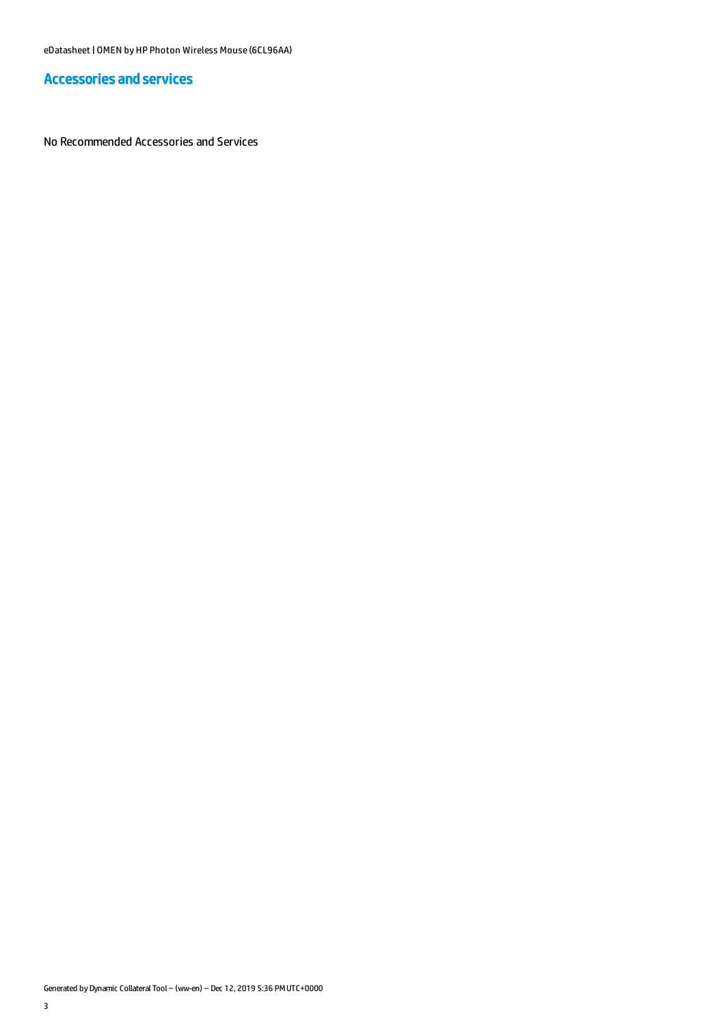# Accessories and services

No Recommended Accessories and Services